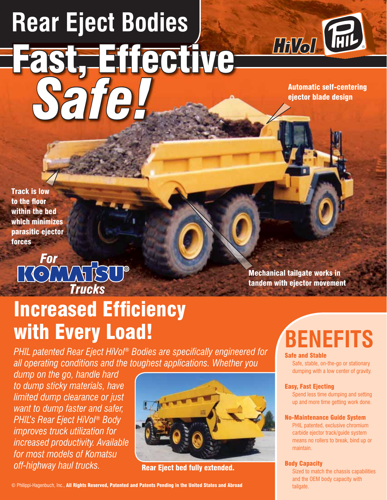# **Rear Eject Bodies** Fast, Effective *Safe!*



Automatic self-centering ejector blade design

Track is low to the floor within the bed which minimizes parasitic ejector forces

## **TOLIVATSU®** *For*

**Increased Efficiency** with Every Load!

**PHIL patented Rear Eject HiVol® Bodies are specifically engineered for** *all operating conditions and the toughest applications. Whether you* 

*dump on the go, handle hard to dump sticky materials, have limited dump clearance or just want to dump faster and safer, PHIL's Rear Eject HiVol® Body improves truck utilization for increased productivity. Available for most models of Komatsu*  off-highway haul trucks.<br>Rear Eject bed fully extended.



© Philippi-Hagenbuch, Inc., All Rights Reserved, Patented and Patents Pending in the United States and Abroad

tandem with ejector movement

Mechanical tailgate works in

## **BENEFITS**

#### Safe and Stable

Safe, stable, on-the-go or stationary dumping with a low center of gravity.

#### Easy, Fast Ejecting

Spend less time dumping and setting up and more time getting work done.

#### No-Maintenance Guide System

PHIL patented, exclusive chromium carbide ejector track/guide system means no rollers to break, bind up or maintain.

#### Body Capacity

Sized to match the chassis capabilities and the OEM body capacity with tailgate.